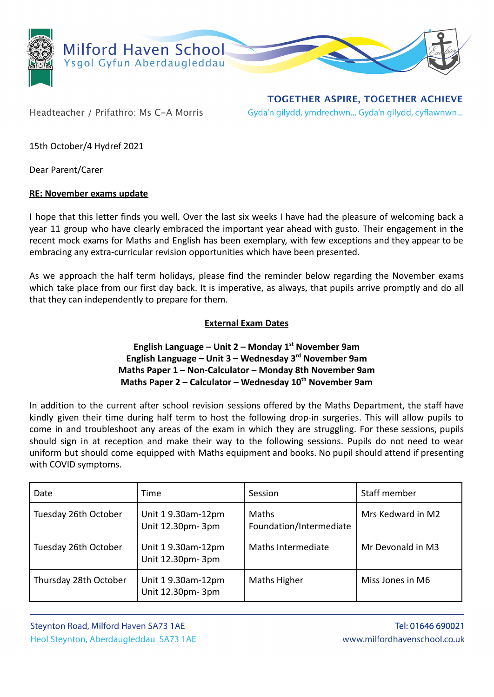

Headteacher / Prifathro: Ms C-A Morris

**TOGETHER ASPIRE, TOGETHER ACHIEVE** Gyda'n gilydd, ymdrechwn... Gyda'n gilydd, cyflawnwn...

15th October/4 Hydref 2021

Dear Parent/Carer

## **RE: November exams update**

I hope that this letter finds you well. Over the last six weeks I have had the pleasure of welcoming back a year 11 group who have clearly embraced the important year ahead with gusto. Their engagement in the recent mock exams for Maths and English has been exemplary, with few exceptions and they appear to be embracing any extra-curricular revision opportunities which have been presented.

As we approach the half term holidays, please find the reminder below regarding the November exams which take place from our first day back. It is imperative, as always, that pupils arrive promptly and do all that they can independently to prepare for them.

## **External Exam Dates**

## **English Language – Unit 2 – Monday 1st November 9am English Language – Unit 3 – Wednesday 3rd November 9am Maths Paper 1 – Non-Calculator – Monday 8th November 9am Maths Paper 2 – Calculator – Wednesday 10th November 9am**

In addition to the current after school revision sessions offered by the Maths Department, the staff have kindly given their time during half term to host the following drop-in surgeries. This will allow pupils to come in and troubleshoot any areas of the exam in which they are struggling. For these sessions, pupils should sign in at reception and make their way to the following sessions. Pupils do not need to wear uniform but should come equipped with Maths equipment and books. No pupil should attend if presenting with COVID symptoms.

| Date                  | Time                                   | Session                                 | Staff member      |
|-----------------------|----------------------------------------|-----------------------------------------|-------------------|
| Tuesday 26th October  | Unit 19.30am-12pm<br>Unit 12.30pm- 3pm | <b>Maths</b><br>Foundation/Intermediate | Mrs Kedward in M2 |
| Tuesday 26th October  | Unit 19.30am-12pm<br>Unit 12.30pm- 3pm | Maths Intermediate                      | Mr Devonald in M3 |
| Thursday 28th October | Unit 19.30am-12pm<br>Unit 12.30pm- 3pm | Maths Higher                            | Miss Jones in M6  |

Steynton Road, Milford Haven SA73 1AE Heol Steynton, Aberdaugleddau SA73 1AE